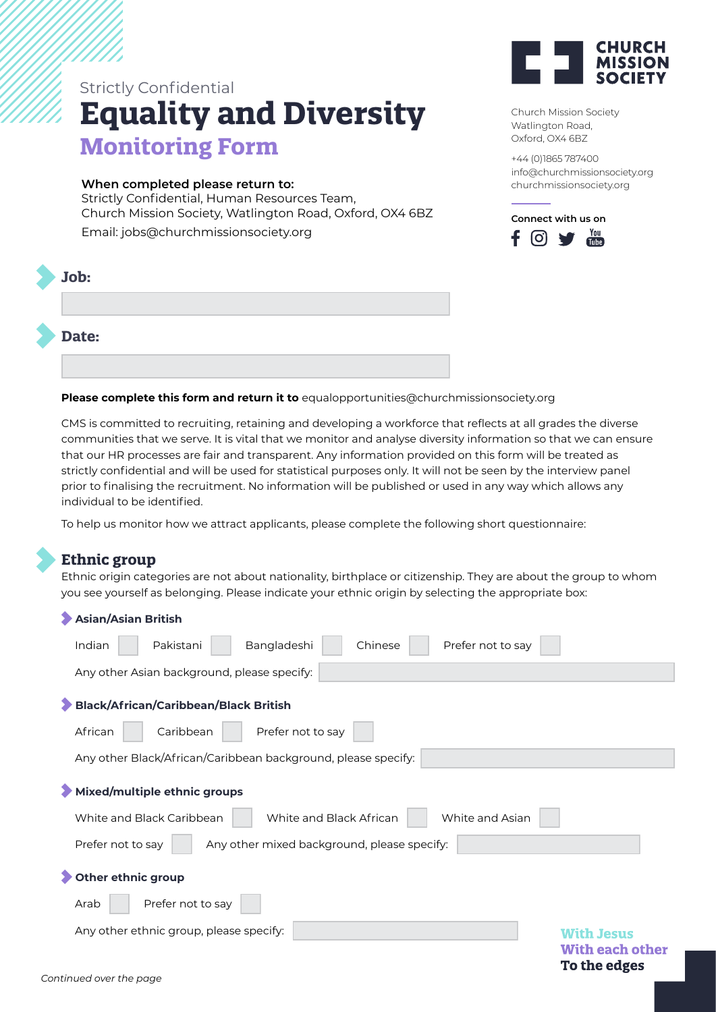## **Equality and Diversity Monitoring Form** Strictly Confidential

## **When completed please return to:**

Strictly Confidential, Human Resources Team, Church Mission Society, Watlington Road, Oxford, OX4 6BZ

Email: jobs@churchmissionsociety.org





Church Mission Society Watlington Road, Oxford, OX4 6BZ

+44 (0)1865 787400 info@churchmissionsociety.org churchmissionsociety.org



**Please complete this form and return it to** equalopportunities@churchmissionsociety.org

CMS is committed to recruiting, retaining and developing a workforce that reflects at all grades the diverse communities that we serve. It is vital that we monitor and analyse diversity information so that we can ensure that our HR processes are fair and transparent. Any information provided on this form will be treated as strictly confidential and will be used for statistical purposes only. It will not be seen by the interview panel prior to finalising the recruitment. No information will be published or used in any way which allows any individual to be identified.

To help us monitor how we attract applicants, please complete the following short questionnaire:

## **Ethnic group**

Ethnic origin categories are not about nationality, birthplace or citizenship. They are about the group to whom you see yourself as belonging. Please indicate your ethnic origin by selecting the appropriate box:

| Asian/Asian British                                                     |                                        |
|-------------------------------------------------------------------------|----------------------------------------|
| Pakistani<br>Bangladeshi<br>Chinese<br>Prefer not to say<br>Indian      |                                        |
| Any other Asian background, please specify:                             |                                        |
| Black/African/Caribbean/Black British                                   |                                        |
| African<br>Caribbean<br>Prefer not to say                               |                                        |
| Any other Black/African/Caribbean background, please specify:           |                                        |
| Mixed/multiple ethnic groups                                            |                                        |
| White and Asian<br>White and Black Caribbean<br>White and Black African |                                        |
| Prefer not to say<br>Any other mixed background, please specify:        |                                        |
| Other ethnic group                                                      |                                        |
| Prefer not to say<br>Arab                                               |                                        |
| Any other ethnic group, please specify:                                 | <b>With Jesus</b>                      |
|                                                                         | <b>With each other</b><br>To the edges |